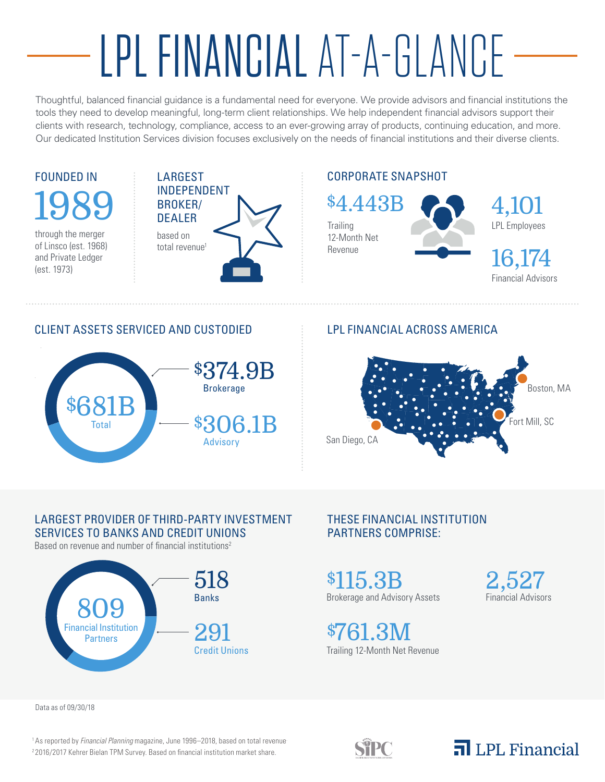# LPL FINANCIAL AT-A-GLANCE

Thoughtful, balanced financial guidance is a fundamental need for everyone. We provide advisors and financial institutions the tools they need to develop meaningful, long-term client relationships. We help independent financial advisors support their clients with research, technology, compliance, access to an ever-growing array of products, continuing education, and more. Our dedicated Institution Services division focuses exclusively on the needs of financial institutions and their diverse clients.

## FOUNDED IN 1989

through the merger of Linsco (est. 1968) and Private Ledger (est. 1973)



#### CORPORATE SNAPSHOT

**Trailing** 12-Month Net Revenue \$4.443B



LPL Employees 4,101

Financial Advisors 16,174

#### CLIENT ASSETS SERVICED AND CUSTODIED



#### LPL FINANCIAL ACROSS AMERICA



#### LARGEST PROVIDER OF THIRD-PARTY INVESTMENT SERVICES TO BANKS AND CREDIT UNIONS

Based on revenue and number of financial institutions<sup>2</sup>



#### THESE FINANCIAL INSTITUTION PARTNERS COMPRISE:

Brokerage and Advisory Assets \$115.3B

Trailing 12-Month Net Revenue \$761.3M

Financial Advisors 2,527

Data as of 09/30/18

1 As reported by *Financial Planning* magazine, June 1996–2018, based on total revenue. <sup>2</sup> 2016/2017 Kehrer Bielan TPM Survey. Based on financial institution market share.